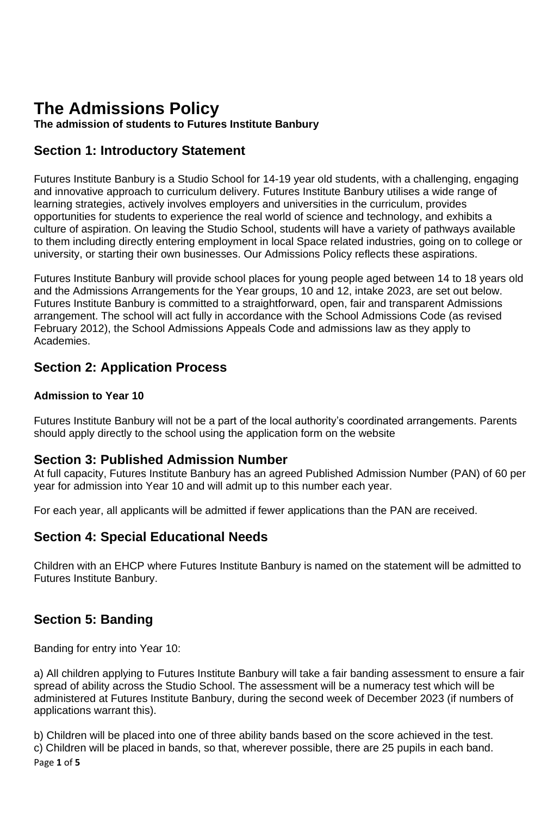# **The Admissions Policy**

**The admission of students to Futures Institute Banbury** 

# **Section 1: Introductory Statement**

Futures Institute Banbury is a Studio School for 14-19 year old students, with a challenging, engaging and innovative approach to curriculum delivery. Futures Institute Banbury utilises a wide range of learning strategies, actively involves employers and universities in the curriculum, provides opportunities for students to experience the real world of science and technology, and exhibits a culture of aspiration. On leaving the Studio School, students will have a variety of pathways available to them including directly entering employment in local Space related industries, going on to college or university, or starting their own businesses. Our Admissions Policy reflects these aspirations.

Futures Institute Banbury will provide school places for young people aged between 14 to 18 years old and the Admissions Arrangements for the Year groups, 10 and 12, intake 2023, are set out below. Futures Institute Banbury is committed to a straightforward, open, fair and transparent Admissions arrangement. The school will act fully in accordance with the School Admissions Code (as revised February 2012), the School Admissions Appeals Code and admissions law as they apply to Academies.

# **Section 2: Application Process**

#### **Admission to Year 10**

Futures Institute Banbury will not be a part of the local authority's coordinated arrangements. Parents should apply directly to the school using the application form on the website

#### **Section 3: Published Admission Number**

At full capacity, Futures Institute Banbury has an agreed Published Admission Number (PAN) of 60 per year for admission into Year 10 and will admit up to this number each year.

For each year, all applicants will be admitted if fewer applications than the PAN are received.

## **Section 4: Special Educational Needs**

Children with an EHCP where Futures Institute Banbury is named on the statement will be admitted to Futures Institute Banbury.

# **Section 5: Banding**

Banding for entry into Year 10:

a) All children applying to Futures Institute Banbury will take a fair banding assessment to ensure a fair spread of ability across the Studio School. The assessment will be a numeracy test which will be administered at Futures Institute Banbury, during the second week of December 2023 (if numbers of applications warrant this).

Page **1** of **5** b) Children will be placed into one of three ability bands based on the score achieved in the test. c) Children will be placed in bands, so that, wherever possible, there are 25 pupils in each band.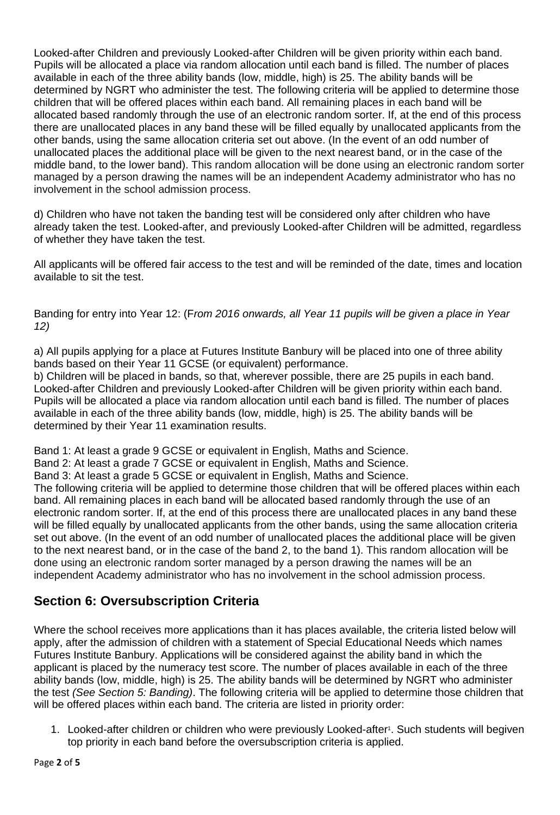Looked-after Children and previously Looked-after Children will be given priority within each band. Pupils will be allocated a place via random allocation until each band is filled. The number of places available in each of the three ability bands (low, middle, high) is 25. The ability bands will be determined by NGRT who administer the test. The following criteria will be applied to determine those children that will be offered places within each band. All remaining places in each band will be allocated based randomly through the use of an electronic random sorter. If, at the end of this process there are unallocated places in any band these will be filled equally by unallocated applicants from the other bands, using the same allocation criteria set out above. (In the event of an odd number of unallocated places the additional place will be given to the next nearest band, or in the case of the middle band, to the lower band). This random allocation will be done using an electronic random sorter managed by a person drawing the names will be an independent Academy administrator who has no involvement in the school admission process.

d) Children who have not taken the banding test will be considered only after children who have already taken the test. Looked-after, and previously Looked-after Children will be admitted, regardless of whether they have taken the test.

All applicants will be offered fair access to the test and will be reminded of the date, times and location available to sit the test.

Banding for entry into Year 12: (F*rom 2016 onwards, all Year 11 pupils will be given a place in Year 12)*

a) All pupils applying for a place at Futures Institute Banbury will be placed into one of three ability bands based on their Year 11 GCSE (or equivalent) performance.

b) Children will be placed in bands, so that, wherever possible, there are 25 pupils in each band. Looked-after Children and previously Looked-after Children will be given priority within each band. Pupils will be allocated a place via random allocation until each band is filled. The number of places available in each of the three ability bands (low, middle, high) is 25. The ability bands will be determined by their Year 11 examination results.

Band 1: At least a grade 9 GCSE or equivalent in English, Maths and Science.

Band 2: At least a grade 7 GCSE or equivalent in English, Maths and Science.

Band 3: At least a grade 5 GCSE or equivalent in English, Maths and Science.

The following criteria will be applied to determine those children that will be offered places within each band. All remaining places in each band will be allocated based randomly through the use of an electronic random sorter. If, at the end of this process there are unallocated places in any band these will be filled equally by unallocated applicants from the other bands, using the same allocation criteria set out above. (In the event of an odd number of unallocated places the additional place will be given to the next nearest band, or in the case of the band 2, to the band 1). This random allocation will be done using an electronic random sorter managed by a person drawing the names will be an independent Academy administrator who has no involvement in the school admission process.

# **Section 6: Oversubscription Criteria**

Where the school receives more applications than it has places available, the criteria listed below will apply, after the admission of children with a statement of Special Educational Needs which names Futures Institute Banbury. Applications will be considered against the ability band in which the applicant is placed by the numeracy test score. The number of places available in each of the three ability bands (low, middle, high) is 25. The ability bands will be determined by NGRT who administer the test *(See Section 5: Banding)*. The following criteria will be applied to determine those children that will be offered places within each band. The criteria are listed in priority order:

1. Looked-after children or children who were previously Looked-after<sup>1</sup>. Such students will begiven top priority in each band before the oversubscription criteria is applied.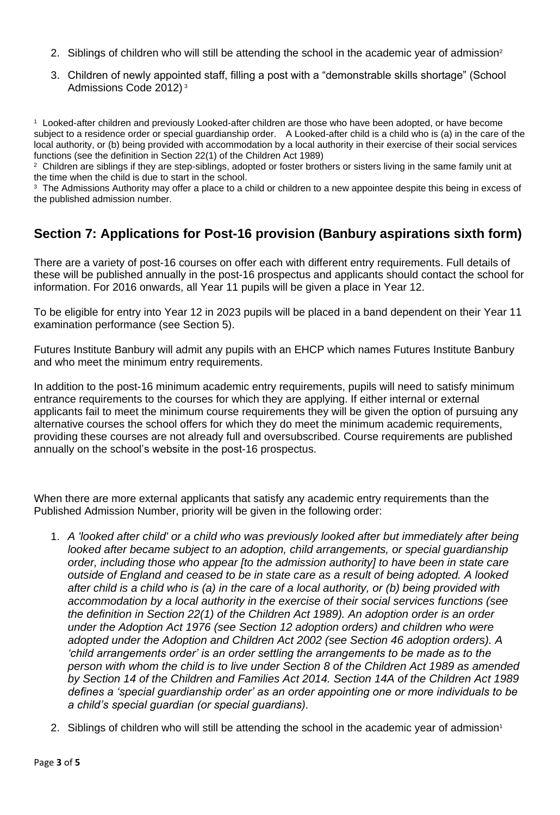- 2. Siblings of children who will still be attending the school in the academic year of admission<sup>2</sup>
- 3. Children of newly appointed staff, filling a post with a "demonstrable skills shortage" (School Admissions Code 2012) <sup>3</sup>

<sup>1</sup>Looked-after children and previously Looked-after children are those who have been adopted, or have become subject to a residence order or special guardianship order. A Looked-after child is a child who is (a) in the care of the local authority, or (b) being provided with accommodation by a local authority in their exercise of their social services functions (see the definition in Section 22(1) of the Children Act 1989)

<sup>2</sup> Children are siblings if they are step-siblings, adopted or foster brothers or sisters living in the same family unit at the time when the child is due to start in the school.

<sup>3</sup> The Admissions Authority may offer a place to a child or children to a new appointee despite this being in excess of the published admission number.

# **Section 7: Applications for Post-16 provision (Banbury aspirations sixth form)**

There are a variety of post-16 courses on offer each with different entry requirements. Full details of these will be published annually in the post-16 prospectus and applicants should contact the school for information. For 2016 onwards, all Year 11 pupils will be given a place in Year 12.

To be eligible for entry into Year 12 in 2023 pupils will be placed in a band dependent on their Year 11 examination performance (see Section 5).

Futures Institute Banbury will admit any pupils with an EHCP which names Futures Institute Banbury and who meet the minimum entry requirements.

In addition to the post-16 minimum academic entry requirements, pupils will need to satisfy minimum entrance requirements to the courses for which they are applying. If either internal or external applicants fail to meet the minimum course requirements they will be given the option of pursuing any alternative courses the school offers for which they do meet the minimum academic requirements, providing these courses are not already full and oversubscribed. Course requirements are published annually on the school's website in the post-16 prospectus.

When there are more external applicants that satisfy any academic entry requirements than the Published Admission Number, priority will be given in the following order:

- 1. *A 'looked after child' or a child who was previously looked after but immediately after being looked after became subject to an adoption, child arrangements, or special guardianship order, including those who appear [to the admission authority] to have been in state care outside of England and ceased to be in state care as a result of being adopted. A looked after child is a child who is (a) in the care of a local authority, or (b) being provided with accommodation by a local authority in the exercise of their social services functions (see the definition in Section 22(1) of the Children Act 1989). An adoption order is an order under the Adoption Act 1976 (see Section 12 adoption orders) and children who were adopted under the Adoption and Children Act 2002 (see Section 46 adoption orders). A 'child arrangements order' is an order settling the arrangements to be made as to the person with whom the child is to live under Section 8 of the Children Act 1989 as amended by Section 14 of the Children and Families Act 2014. Section 14A of the Children Act 1989 defines a 'special guardianship order' as an order appointing one or more individuals to be a child's special guardian (or special guardians).*
- 2. Siblings of children who will still be attending the school in the academic year of admission<sup>1</sup>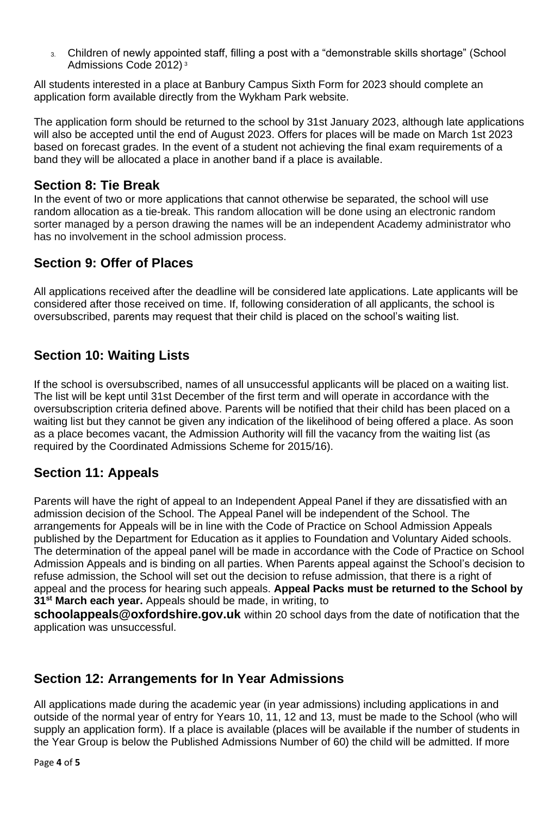3. Children of newly appointed staff, filling a post with a "demonstrable skills shortage" (School Admissions Code 2012) <sup>3</sup>

All students interested in a place at Banbury Campus Sixth Form for 2023 should complete an application form available directly from the Wykham Park website.

The application form should be returned to the school by 31st January 2023, although late applications will also be accepted until the end of August 2023. Offers for places will be made on March 1st 2023 based on forecast grades. In the event of a student not achieving the final exam requirements of a band they will be allocated a place in another band if a place is available.

### **Section 8: Tie Break**

In the event of two or more applications that cannot otherwise be separated, the school will use random allocation as a tie-break. This random allocation will be done using an electronic random sorter managed by a person drawing the names will be an independent Academy administrator who has no involvement in the school admission process.

# **Section 9: Offer of Places**

All applications received after the deadline will be considered late applications. Late applicants will be considered after those received on time. If, following consideration of all applicants, the school is oversubscribed, parents may request that their child is placed on the school's waiting list.

# **Section 10: Waiting Lists**

If the school is oversubscribed, names of all unsuccessful applicants will be placed on a waiting list. The list will be kept until 31st December of the first term and will operate in accordance with the oversubscription criteria defined above. Parents will be notified that their child has been placed on a waiting list but they cannot be given any indication of the likelihood of being offered a place. As soon as a place becomes vacant, the Admission Authority will fill the vacancy from the waiting list (as required by the Coordinated Admissions Scheme for 2015/16).

## **Section 11: Appeals**

Parents will have the right of appeal to an Independent Appeal Panel if they are dissatisfied with an admission decision of the School. The Appeal Panel will be independent of the School. The arrangements for Appeals will be in line with the Code of Practice on School Admission Appeals published by the Department for Education as it applies to Foundation and Voluntary Aided schools. The determination of the appeal panel will be made in accordance with the Code of Practice on School Admission Appeals and is binding on all parties. When Parents appeal against the School's decision to refuse admission, the School will set out the decision to refuse admission, that there is a right of appeal and the process for hearing such appeals. **Appeal Packs must be returned to the School by 31 st March each year.** Appeals should be made, in writing, to

**[schoolappeals@oxfordshire.gov.uk](mailto:schoolappeals@oxfordshire.gov.uk)** within 20 school days from the date of notification that the application was unsuccessful.

# **Section 12: Arrangements for In Year Admissions**

All applications made during the academic year (in year admissions) including applications in and outside of the normal year of entry for Years 10, 11, 12 and 13, must be made to the School (who will supply an application form). If a place is available (places will be available if the number of students in the Year Group is below the Published Admissions Number of 60) the child will be admitted. If more